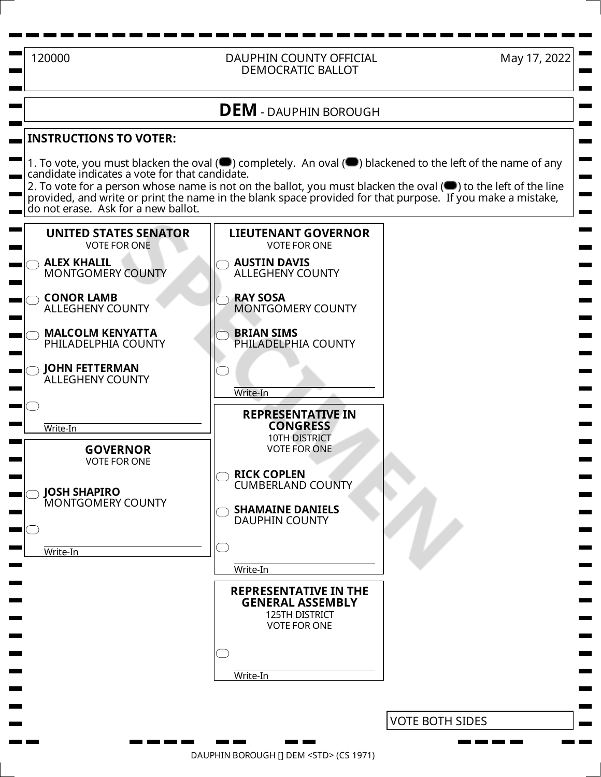## 120000 DAUPHIN COUNTY OFFICIAL DEMOCRATIC BALLOT

May 17, 2022

## **DEM** - DAUPHIN BOROUGH

## **INSTRUCTIONS TO VOTER:**

1. To vote, you must blacken the oval ( $\bullet$ ) completely. An oval ( $\bullet$ ) blackened to the left of the name of any candidate indicates a vote for that candidate.

2. To vote for a person whose name is not on the ballot, you must blacken the oval  $($ **)** to the left of the line provided, and write or print the name in the blank space provided for that purpose. If you make a mistake, do not erase. Ask for a new ballot.



VOTE BOTH SIDES